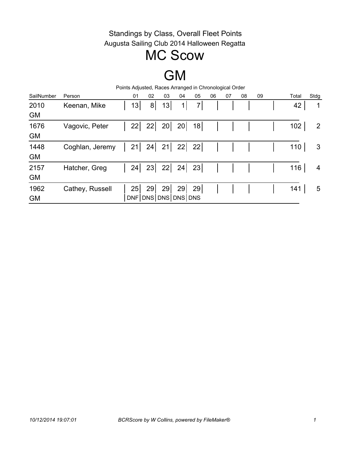## MC Scow

# GM

| Person          | 01              | 02                         | 03 | 04             | 05                                           | 06                  | 07 | 08 | 09                                                     | Total | Stdg           |
|-----------------|-----------------|----------------------------|----|----------------|----------------------------------------------|---------------------|----|----|--------------------------------------------------------|-------|----------------|
| Keenan, Mike    |                 | 8 <sup>1</sup>             | 13 | 1 <sup>1</sup> | 7 <sub>l</sub>                               |                     |    |    |                                                        | 42    | 1              |
|                 |                 |                            |    |                |                                              |                     |    |    |                                                        |       |                |
| Vagovic, Peter  |                 | 22                         |    | 20             | 18                                           |                     |    |    |                                                        | 102   | $\overline{2}$ |
|                 |                 |                            |    |                |                                              |                     |    |    |                                                        |       |                |
|                 |                 | 24                         |    |                | 22                                           |                     |    |    |                                                        | 110   | 3              |
|                 |                 |                            |    |                |                                              |                     |    |    |                                                        |       |                |
| Hatcher, Greg   |                 | 23                         |    |                | 23                                           |                     |    |    |                                                        | 116   | 4              |
|                 |                 |                            |    |                |                                              |                     |    |    |                                                        |       |                |
| Cathey, Russell |                 | 29                         | 29 | 29             | 29                                           |                     |    |    |                                                        | 141   | 5              |
|                 |                 |                            |    |                |                                              |                     |    |    |                                                        |       |                |
|                 | Coghlan, Jeremy | 13<br>22<br>21<br>24<br>25 |    |                | 20<br>$21 \mid 22 \mid$<br>$22 \mid 24 \mid$ | DNF DNS DNS DNS DNS |    |    | Points Adjusted, Races Arranged in Chronological Order |       |                |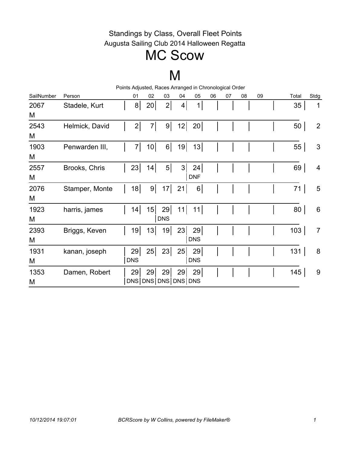## MC Scow

### M

|            |                | Points Adjusted, Races Arranged in Chronological Order |                 |            |    |                |    |    |    |    |  |       |                  |
|------------|----------------|--------------------------------------------------------|-----------------|------------|----|----------------|----|----|----|----|--|-------|------------------|
| SailNumber | Person         | 01                                                     | 02              | 03         | 04 | 05             | 06 | 07 | 08 | 09 |  | Total | Stdg             |
| 2067       | Stadele, Kurt  | 8 <sup>1</sup>                                         | 20              | 2          | 4  | 1              |    |    |    |    |  | 35    | 1                |
| M          |                |                                                        |                 |            |    |                |    |    |    |    |  |       |                  |
| 2543       | Helmick, David | 2                                                      | $7\vert$        | $9\vert$   | 12 | 20             |    |    |    |    |  | 50    | $\overline{2}$   |
| M          |                |                                                        |                 |            |    |                |    |    |    |    |  |       |                  |
| 1903       | Penwarden III, | 7                                                      | 10 <sup>1</sup> | $6\vert$   | 19 | 13             |    |    |    |    |  | 55    | 3                |
| M          |                |                                                        |                 |            |    |                |    |    |    |    |  |       |                  |
| 2557       | Brooks, Chris  | 23                                                     | 14              | $5\vert$   | 3  | 24             |    |    |    |    |  | 69    | 4                |
| M          |                |                                                        |                 |            |    | <b>DNF</b>     |    |    |    |    |  |       |                  |
| 2076       | Stamper, Monte | 18                                                     | 9 <sup>1</sup>  | 17         | 21 | 6 <sup>1</sup> |    |    |    |    |  | 71    | 5                |
| M          |                |                                                        |                 |            |    |                |    |    |    |    |  |       |                  |
| 1923       | harris, james  | 14                                                     | 15              | 29         | 11 | 11             |    |    |    |    |  | 80    | $6\,$            |
| M          |                |                                                        |                 | <b>DNS</b> |    |                |    |    |    |    |  |       |                  |
| 2393       | Briggs, Keven  | 19                                                     | 13              | 19         | 23 | 29             |    |    |    |    |  | 103   | $\overline{7}$   |
| M          |                |                                                        |                 |            |    | <b>DNS</b>     |    |    |    |    |  |       |                  |
| 1931       | kanan, joseph  | 29                                                     | 25              | 23         | 25 | 29             |    |    |    |    |  | 131   | 8                |
| M          |                | <b>DNS</b>                                             |                 |            |    | <b>DNS</b>     |    |    |    |    |  |       |                  |
| 1353       | Damen, Robert  | 29                                                     | 29              | 29         | 29 | 29             |    |    |    |    |  | 145   | $\boldsymbol{9}$ |
| M          |                | DNS DNS DNS DNS DNS                                    |                 |            |    |                |    |    |    |    |  |       |                  |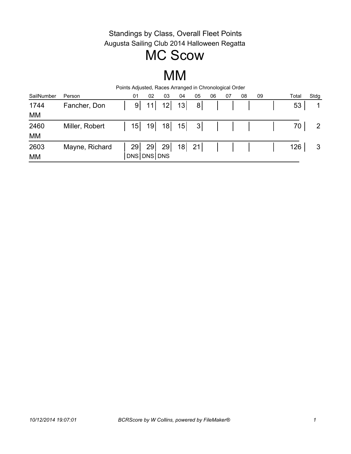## MC Scow

### MM

| Points Adjusted, Races Arranged in Chronological Order |                |  |    |                 |                 |    |                |    |    |    |    |  |       |             |
|--------------------------------------------------------|----------------|--|----|-----------------|-----------------|----|----------------|----|----|----|----|--|-------|-------------|
| SailNumber                                             | Person         |  | 01 | 02              | 03              | 04 | 05             | 06 | 07 | 08 | 09 |  | Total | Stdg        |
| 1744                                                   | Fancher, Don   |  | 9  | 11              | 12 <sup>1</sup> | 13 | 8 <sup>1</sup> |    |    |    |    |  | 53    | $\mathbf 1$ |
| МM                                                     |                |  |    |                 |                 |    |                |    |    |    |    |  |       |             |
| 2460                                                   | Miller, Robert |  | 15 | 19 <sup>1</sup> | 18              | 15 | 3              |    |    |    |    |  | 70    | 2           |
| МM                                                     |                |  |    |                 |                 |    |                |    |    |    |    |  |       |             |
| 2603                                                   | Mayne, Richard |  | 29 | 29              | 29              |    | $18$ 21        |    |    |    |    |  | 126   | 3           |
| МM                                                     |                |  |    | DNS DNS DNS     |                 |    |                |    |    |    |    |  |       |             |